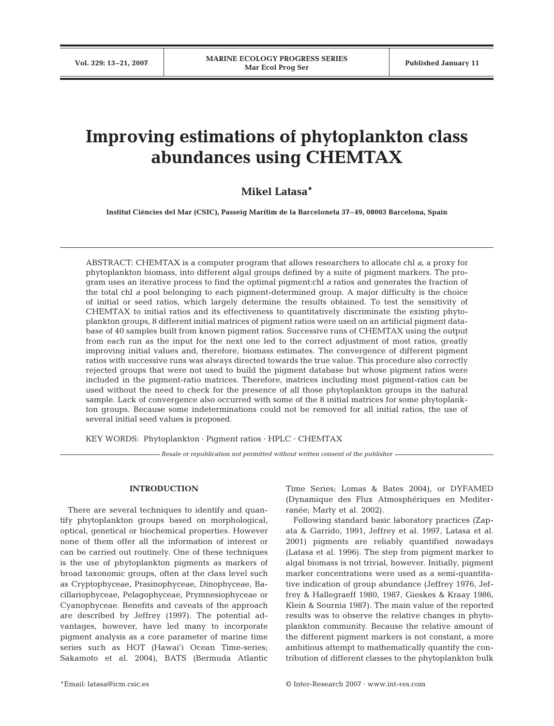# **Improving estimations of phytoplankton class abundances using CHEMTAX**

# **Mikel Latasa\***

**Institut Ciències del Mar (CSIC), Passeig Marítim de la Barceloneta 37–49, 08003 Barcelona, Spain**

ABSTRACT: CHEMTAX is a computer program that allows researchers to allocate chl *a*, a proxy for phytoplankton biomass, into different algal groups defined by a suite of pigment markers. The program uses an iterative process to find the optimal pigment:chl *a* ratios and generates the fraction of the total chl *a* pool belonging to each pigment-determined group. A major difficulty is the choice of initial or seed ratios, which largely determine the results obtained. To test the sensitivity of CHEMTAX to initial ratios and its effectiveness to quantitatively discriminate the existing phytoplankton groups, 8 different initial matrices of pigment ratios were used on an artificial pigment database of 40 samples built from known pigment ratios. Successive runs of CHEMTAX using the output from each run as the input for the next one led to the correct adjustment of most ratios, greatly improving initial values and, therefore, biomass estimates. The convergence of different pigment ratios with successive runs was always directed towards the true value. This procedure also correctly rejected groups that were not used to build the pigment database but whose pigment ratios were included in the pigment-ratio matrices. Therefore, matrices including most pigment-ratios can be used without the need to check for the presence of all those phytoplankton groups in the natural sample. Lack of convergence also occurred with some of the 8 initial matrices for some phytoplankton groups. Because some indeterminations could not be removed for all initial ratios, the use of several initial seed values is proposed.

KEY WORDS: Phytoplankton · Pigment ratios · HPLC · CHEMTAX

*Resale or republication not permitted without written consent of the publisher*

# **INTRODUCTION**

There are several techniques to identify and quantify phytoplankton groups based on morphological, optical, genetical or biochemical properties. However none of them offer all the information of interest or can be carried out routinely. One of these techniques is the use of phytoplankton pigments as markers of broad taxonomic groups, often at the class level such as Cryptophyceae, Prasinophyceae, Dinophyceae, Bacillariophyceae, Pelagophyceae, Prymnesiophyceae or Cyanophyceae. Benefits and caveats of the approach are described by Jeffrey (1997). The potential advantages, however, have led many to incorporate pigment analysis as a core parameter of marine time series such as HOT (Hawai'i Ocean Time-series; Sakamoto et al. 2004), BATS (Bermuda Atlantic Time Series; Lomas & Bates 2004), or DYFAMED (Dynamique des Flux Atmosphériques en Mediterranée; Marty et al. 2002).

Following standard basic laboratory practices (Zapata & Garrido, 1991, Jeffrey et al. 1997, Latasa et al. 2001) pigments are reliably quantified nowadays (Latasa et al. 1996). The step from pigment marker to algal biomass is not trivial, however. Initially, pigment marker concentrations were used as a semi-quantitative indication of group abundance (Jeffrey 1976, Jeffrey & Hallegraeff 1980, 1987, Gieskes & Kraay 1986, Klein & Sournia 1987). The main value of the reported results was to observe the relative changes in phytoplankton community. Because the relative amount of the different pigment markers is not constant, a more ambitious attempt to mathematically quantify the contribution of different classes to the phytoplankton bulk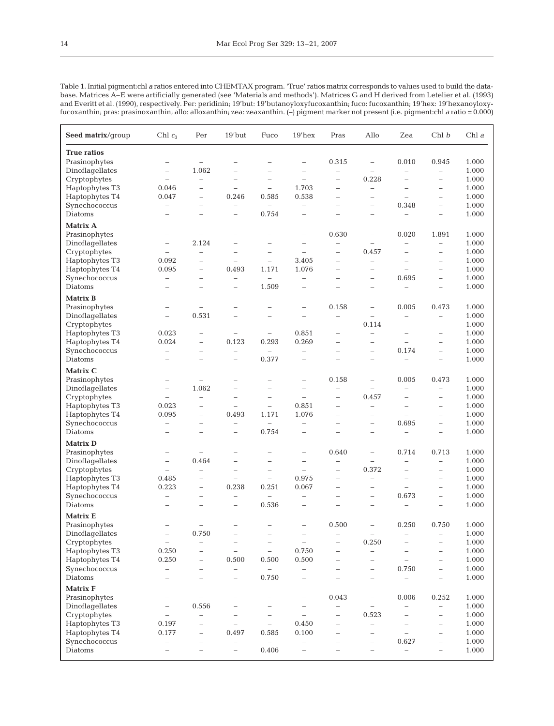| Seed matrix/group  | Chl $c_3$                | Per                      | 19'but                   | Fuco                     | $19'$ hex                | Pras                     | Allo                     | Zea                      | Chl b                    | Chl $a$ |
|--------------------|--------------------------|--------------------------|--------------------------|--------------------------|--------------------------|--------------------------|--------------------------|--------------------------|--------------------------|---------|
| <b>True ratios</b> |                          |                          |                          |                          |                          |                          |                          |                          |                          |         |
| Prasinophytes      | -                        | $\overline{\phantom{0}}$ | Ē.                       | L.                       | $\overline{\phantom{0}}$ | 0.315                    | $\qquad \qquad -$        | 0.010                    | 0.945                    | 1.000   |
| Dinoflagellates    | $\overline{\phantom{0}}$ | 1.062                    | $\overline{\phantom{0}}$ |                          | $\overline{\phantom{0}}$ | $\overline{\phantom{0}}$ | $\overline{\phantom{0}}$ | $\overline{\phantom{0}}$ | $\qquad \qquad -$        | 1.000   |
| Cryptophytes       | $\equiv$                 | $\equiv$                 | $\overline{\phantom{a}}$ | $\overline{\phantom{0}}$ | $\overline{\phantom{0}}$ | $\overline{\phantom{0}}$ | 0.228                    | $\overline{\phantom{0}}$ | $\overline{\phantom{0}}$ | 1.000   |
| Haptophytes T3     | 0.046                    | $\overline{\phantom{0}}$ | $\qquad \qquad -$        | $\qquad \qquad -$        | 1.703                    | $\overline{\phantom{0}}$ | $\overline{\phantom{0}}$ |                          | $\overline{\phantom{0}}$ | 1.000   |
| Haptophytes T4     | 0.047                    | $\overline{\phantom{a}}$ | 0.246                    | 0.585                    | 0.538                    | $\overline{\phantom{0}}$ | $\overline{\phantom{0}}$ | L.                       | $\overline{\phantom{0}}$ | 1.000   |
| Synechococcus      | -                        | $\overline{\phantom{0}}$ | $\qquad \qquad -$        | $\qquad \qquad -$        | $\overline{\phantom{0}}$ | $\overline{\phantom{0}}$ | $\qquad \qquad -$        | 0.348                    | $\qquad \qquad -$        | 1.000   |
| Diatoms            | L,                       | $\overline{\phantom{0}}$ | $\overline{\phantom{0}}$ | 0.754                    | $\overline{\phantom{0}}$ |                          | $\overline{\phantom{0}}$ | $\qquad \qquad -$        | $\overline{\phantom{a}}$ | 1.000   |
| Matrix A           |                          |                          |                          |                          |                          |                          |                          |                          |                          |         |
| Prasinophytes      | -                        | $\qquad \qquad -$        | $\overline{\phantom{0}}$ |                          | $\overline{\phantom{0}}$ | 0.630                    | $\qquad \qquad -$        | 0.020                    | 1.891                    | 1.000   |
| Dinoflagellates    | $\equiv$                 | 2.124                    | $\overline{\phantom{a}}$ | L.                       | L.                       | $\overline{\phantom{0}}$ | $\overline{\phantom{0}}$ | Ē.                       | $\qquad \qquad -$        | 1.000   |
| Cryptophytes       | $\overline{\phantom{0}}$ | $\overline{\phantom{0}}$ |                          | $\overline{\phantom{0}}$ | L.                       | L.                       | 0.457                    | Ē.                       | $\qquad \qquad -$        | 1.000   |
| Haptophytes T3     | 0.092                    | $\overline{\phantom{a}}$ | $\overline{\phantom{0}}$ | $\overline{\phantom{0}}$ | 3.405                    | $\overline{\phantom{0}}$ | $\qquad \qquad -$        | $\overline{\phantom{0}}$ | $\qquad \qquad -$        | 1.000   |
| Haptophytes T4     | 0.095                    | L.                       | 0.493                    | 1.171                    | 1.076                    | L.                       | $\overline{\phantom{0}}$ | $\equiv$                 | $\overline{\phantom{a}}$ | 1.000   |
| Synechococcus      | $\overline{\phantom{0}}$ | $\overline{\phantom{a}}$ | $\qquad \qquad -$        | $\overline{\phantom{0}}$ | $\overline{\phantom{0}}$ | $\overline{\phantom{0}}$ | $\overline{\phantom{0}}$ | 0.695                    | $\overline{\phantom{0}}$ | 1.000   |
| Diatoms            | $\overline{\phantom{0}}$ | ÷,                       | $\overline{\phantom{a}}$ | 1.509                    | $\overline{\phantom{0}}$ | $\overline{\phantom{a}}$ | $\overline{\phantom{0}}$ | $\overline{\phantom{0}}$ | $\qquad \qquad -$        | 1.000   |
| <b>Matrix B</b>    |                          |                          |                          |                          |                          |                          |                          |                          |                          |         |
| Prasinophytes      | -                        | $\qquad \qquad -$        | $\overline{\phantom{0}}$ |                          | $\overline{\phantom{0}}$ | 0.158                    | $\overline{\phantom{m}}$ | 0.005                    | 0.473                    | 1.000   |
| Dinoflagellates    | $\overline{\phantom{0}}$ | 0.531                    | $\overline{\phantom{a}}$ | L.                       | $\overline{\phantom{0}}$ | $\overline{\phantom{0}}$ | $\overline{\phantom{m}}$ |                          | $\qquad \qquad -$        | 1.000   |
| Cryptophytes       | $\equiv$                 | $\overline{\phantom{0}}$ | $\overline{\phantom{a}}$ | $\overline{\phantom{0}}$ | $\overline{\phantom{0}}$ | $\overline{\phantom{0}}$ | 0.114                    | $\sim$                   | $\overline{\phantom{a}}$ | 1.000   |
| Haptophytes T3     | 0.023                    | $\overline{\phantom{0}}$ | $\qquad \qquad -$        | $\overline{\phantom{0}}$ | 0.851                    | $\overline{\phantom{0}}$ | $\overline{\phantom{0}}$ | Ē.                       | $\qquad \qquad -$        | 1.000   |
| Haptophytes T4     | 0.024                    | $\overline{\phantom{m}}$ | 0.123                    | 0.293                    | 0.269                    | $\overline{\phantom{0}}$ | $\overline{\phantom{m}}$ | $\overline{\phantom{0}}$ | $\qquad \qquad -$        | 1.000   |
| Synechococcus      | $\overline{\phantom{0}}$ |                          | $\overline{\phantom{0}}$ | $\qquad \qquad -$        | $\overline{\phantom{0}}$ | L.                       | $\overline{\phantom{0}}$ | 0.174                    | $\qquad \qquad -$        | 1.000   |
| Diatoms            | L,                       | Ē.                       | $\overline{\phantom{0}}$ | 0.377                    | $\overline{\phantom{0}}$ |                          | $\overline{\phantom{0}}$ | ÷,                       | $\qquad \qquad -$        | 1.000   |
| Matrix C           |                          |                          |                          |                          |                          |                          |                          |                          |                          |         |
| Prasinophytes      | -                        | $\overline{\phantom{0}}$ | $\overline{\phantom{0}}$ | $\overline{\phantom{0}}$ | $\overline{\phantom{0}}$ | 0.158                    | $\overline{\phantom{a}}$ | 0.005                    | 0.473                    | 1.000   |
| Dinoflagellates    | $\equiv$                 | 1.062                    | $\overline{\phantom{0}}$ | L.                       | L.                       | $\overline{\phantom{0}}$ | $\overline{\phantom{0}}$ | $\overline{\phantom{a}}$ | $\overline{\phantom{a}}$ | 1.000   |
| Cryptophytes       | $\overline{\phantom{0}}$ | $\overline{\phantom{0}}$ | $\qquad \qquad -$        | $\overline{\phantom{0}}$ | $\overline{\phantom{0}}$ | $\overline{\phantom{0}}$ | 0.457                    | $\qquad \qquad -$        | $\qquad \qquad -$        | 1.000   |
| Haptophytes T3     | 0.023                    | $\overline{\phantom{a}}$ | $\overline{\phantom{0}}$ | $\overline{\phantom{0}}$ | 0.851                    | $\overline{\phantom{0}}$ | $\overline{\phantom{0}}$ | $\overline{\phantom{0}}$ | $\overline{\phantom{a}}$ | 1.000   |
| Haptophytes T4     | 0.095                    |                          | 0.493                    | 1.171                    | 1.076                    | $\overline{\phantom{0}}$ | $\overline{\phantom{0}}$ |                          | $\overline{\phantom{0}}$ | 1.000   |
| Synechococcus      | $\qquad \qquad -$        | $\overline{\phantom{0}}$ | $\qquad \qquad -$        | $\qquad \qquad -$        | $\overline{\phantom{0}}$ | $\overline{\phantom{0}}$ | $\overline{\phantom{m}}$ | 0.695                    | $\qquad \qquad -$        | 1.000   |
| Diatoms            | -                        | L.                       | $\overline{\phantom{a}}$ | 0.754                    | L.                       |                          | $\overline{\phantom{0}}$ |                          | $\overline{\phantom{0}}$ | 1.000   |
| <b>Matrix D</b>    |                          |                          |                          |                          |                          |                          |                          |                          |                          |         |
| Prasinophytes      | -                        | $\overline{\phantom{0}}$ |                          |                          | $\overline{\phantom{0}}$ | 0.640                    | $\qquad \qquad -$        | 0.714                    | 0.713                    | 1.000   |
| Dinoflagellates    | $\overline{\phantom{0}}$ | 0.464                    | $\qquad \qquad -$        | $\qquad \qquad -$        | $\overline{\phantom{0}}$ | $\overline{\phantom{0}}$ |                          | $\overline{\phantom{0}}$ | $\qquad \qquad -$        | 1.000   |
| Cryptophytes       | ÷                        | $\overline{\phantom{a}}$ | $\overline{\phantom{0}}$ | $\overline{\phantom{0}}$ | L.                       | $\overline{\phantom{0}}$ | 0.372                    | L.                       | $\overline{\phantom{0}}$ | 1.000   |
| Haptophytes T3     | 0.485                    | $\qquad \qquad -$        | $\overline{\phantom{0}}$ | $\qquad \qquad -$        | 0.975                    | $\overline{\phantom{0}}$ | $\qquad \qquad -$        | $\overline{\phantom{a}}$ | $\qquad \qquad -$        | 1.000   |
| Haptophytes T4     | 0.223                    | $\overline{\phantom{a}}$ | 0.238                    | 0.251                    | 0.067                    | $\overline{\phantom{0}}$ | $\overline{\phantom{0}}$ | $\overline{\phantom{a}}$ | $\qquad \qquad -$        | 1.000   |
| Synechococcus      | $\overline{\phantom{0}}$ |                          |                          | $\qquad \qquad -$        | $\overline{\phantom{0}}$ | L.                       | $\overline{\phantom{m}}$ | 0.673                    | $\qquad \qquad -$        | 1.000   |
| Diatoms            | -                        | Ē,                       | $\qquad \qquad -$        | 0.536                    | $\overline{\phantom{0}}$ | $\overline{\phantom{0}}$ | $\overline{\phantom{0}}$ | $\qquad \qquad -$        | $\overline{\phantom{0}}$ | 1.000   |
| Matrix E           |                          |                          |                          |                          |                          |                          |                          |                          |                          |         |
| Prasinophytes      | -                        | $\qquad \qquad -$        |                          |                          |                          | 0.500                    | $\overline{\phantom{0}}$ | 0.250                    | 0.750                    | 1.000   |
| Dinoflagellates    |                          | 0.750                    |                          |                          |                          |                          |                          |                          |                          | 1.000   |
| Cryptophytes       | $\qquad \qquad -$        | $\qquad \qquad -$        | $\qquad \qquad -$        | $\overline{\phantom{0}}$ | $\qquad \qquad -$        | $\qquad \qquad -$        | 0.250                    | $\overline{\phantom{0}}$ | $\qquad \qquad -$        | 1.000   |
| Haptophytes T3     | 0.250                    | L,                       | $\qquad \qquad -$        | $\qquad \qquad -$        | 0.750                    |                          |                          |                          | $\overline{\phantom{0}}$ | 1.000   |
| Haptophytes T4     | 0.250                    | $\overline{\phantom{0}}$ | 0.500                    | 0.500                    | 0.500                    |                          | $\overline{\phantom{0}}$ |                          | $\qquad \qquad -$        | 1.000   |
| Synechococcus      | $\overline{\phantom{0}}$ | $\overline{\phantom{0}}$ | $\qquad \qquad -$        | $\overline{\phantom{0}}$ | L.                       | $\overline{\phantom{0}}$ | $\overline{\phantom{m}}$ | 0.750                    | $\qquad \qquad -$        | 1.000   |
| Diatoms            |                          | -                        | $\qquad \qquad -$        | 0.750                    |                          |                          | -                        |                          | $\qquad \qquad -$        | 1.000   |
| <b>Matrix F</b>    |                          |                          |                          |                          |                          |                          |                          |                          |                          |         |
| Prasinophytes      | -                        | $\qquad \qquad -$        |                          |                          | -                        | 0.043                    | $\overline{\phantom{m}}$ | 0.006                    | 0.252                    | 1.000   |
| Dinoflagellates    | -                        | 0.556                    | -                        |                          | $\overline{\phantom{0}}$ |                          | $\overline{\phantom{m}}$ |                          |                          | 1.000   |
| Cryptophytes       | $\overline{\phantom{0}}$ | $\qquad \qquad -$        |                          | $\overline{\phantom{0}}$ | L.                       | $\overline{\phantom{0}}$ | 0.523                    | Ē,                       | $\qquad \qquad -$        | 1.000   |
| Haptophytes T3     | 0.197                    |                          | $\qquad \qquad -$        | $\overline{\phantom{0}}$ | 0.450                    |                          | $\qquad \qquad -$        |                          | $\qquad \qquad -$        | 1.000   |
| Haptophytes T4     | 0.177                    | $\overline{\phantom{0}}$ | 0.497                    | 0.585                    | 0.100                    | $\overline{\phantom{0}}$ | $\overline{\phantom{0}}$ | $\overline{\phantom{0}}$ | $\overline{\phantom{0}}$ | 1.000   |
| Synechococcus      | $\overline{\phantom{0}}$ | $\overline{\phantom{0}}$ | $\qquad \qquad -$        | $\overline{\phantom{0}}$ |                          |                          | $\overline{\phantom{0}}$ | 0.627                    | $\qquad \qquad -$        | 1.000   |
| Diatoms            | L,                       | $\overline{\phantom{0}}$ | $\qquad \qquad -$        | 0.406                    | L.                       |                          | $\overline{\phantom{0}}$ | $\overline{\phantom{0}}$ | $\qquad \qquad -$        | 1.000   |
|                    |                          |                          |                          |                          |                          |                          |                          |                          |                          |         |

Table 1. Initial pigment:chl *a* ratios entered into CHEMTAX program. 'True' ratios matrix corresponds to values used to build the database. Matrices A–E were artificially generated (see 'Materials and methods'). Matrices G and H derived from Letelier et al. (1993) and Everitt et al. (1990), respectively. Per: peridinin; 19'but: 19'butanoyloxyfucoxanthin; fuco: fucoxanthin; 19'hex: 19'hexanoyloxyfucoxanthin; pras: prasinoxanthin; allo: alloxanthin; zea: zeaxanthin. (–) pigment marker not present (i.e. pigment:chl *a* ratio = 0.000)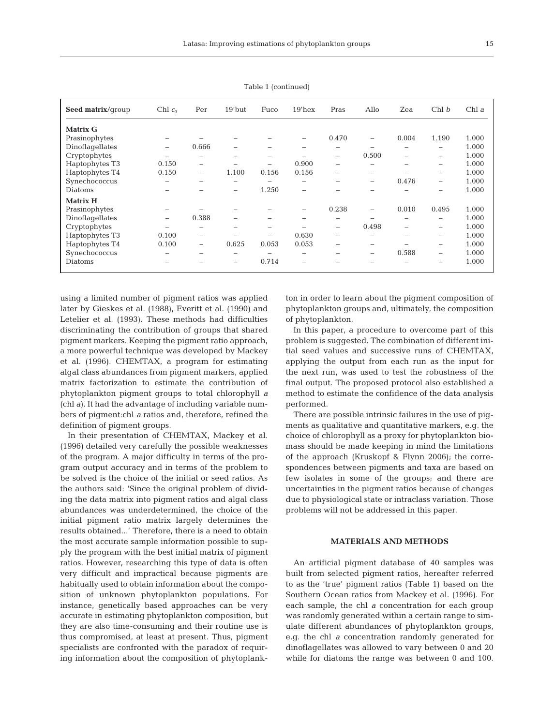| ×      |
|--------|
| ×<br>I |

| Seed matrix/group | Chl $c_3$                | Per   | $19$ 'but | Fuco                     | $19'$ hex | Pras                     | Allo                     | Zea   | Chl b                    | Chl $a$ |
|-------------------|--------------------------|-------|-----------|--------------------------|-----------|--------------------------|--------------------------|-------|--------------------------|---------|
| <b>Matrix G</b>   |                          |       |           |                          |           |                          |                          |       |                          |         |
| Prasinophytes     |                          |       |           |                          |           | 0.470                    | -                        | 0.004 | 1.190                    | 1.000   |
| Dinoflagellates   | -                        | 0.666 |           |                          | -         | $\overline{\phantom{0}}$ |                          |       | -                        | 1.000   |
| Cryptophytes      |                          | -     |           | -                        |           | $\overline{\phantom{0}}$ | 0.500                    | -     | $\overline{\phantom{m}}$ | 1.000   |
| Haptophytes T3    | 0.150                    | $-$   | -         | -                        | 0.900     | $\overline{\phantom{0}}$ | -                        | -     | -                        | 1.000   |
| Haptophytes T4    | 0.150                    | $-$   | 1.100     | 0.156                    | 0.156     | $\overline{\phantom{a}}$ | $\overline{\phantom{a}}$ |       | -                        | 1.000   |
| Synechococcus     | $\overline{\phantom{0}}$ | -     | -         | $\overline{\phantom{0}}$ | -         |                          | $\overline{\phantom{a}}$ | 0.476 | $\overline{\phantom{0}}$ | 1.000   |
| Diatoms           |                          |       | -         | 1.250                    | -         |                          |                          |       |                          | 1.000   |
| <b>Matrix H</b>   |                          |       |           |                          |           |                          |                          |       |                          |         |
| Prasinophytes     |                          |       |           |                          |           | 0.238                    |                          | 0.010 | 0.495                    | 1.000   |
| Dinoflagellates   | -                        | 0.388 |           |                          | -         | -                        |                          |       | $\overline{\phantom{a}}$ | 1.000   |
| Cryptophytes      |                          | -     | -         | -                        |           | $\overline{\phantom{a}}$ | 0.498                    |       | $\overline{\phantom{m}}$ | 1.000   |
| Haptophytes T3    | 0.100                    | $-$   |           |                          | 0.630     | $\overline{\phantom{0}}$ |                          |       | -                        | 1.000   |
| Haptophytes T4    | 0.100                    | -     | 0.625     | 0.053                    | 0.053     | -                        | $\overline{\phantom{a}}$ |       | $\overline{\phantom{a}}$ | 1.000   |
| Synechococcus     | $\overline{\phantom{a}}$ | -     | -         | $\overline{\phantom{0}}$ | -         | -                        | $\overline{\phantom{a}}$ | 0.588 | -                        | 1.000   |
| Diatoms           |                          |       | -         | 0.714                    | -         |                          |                          |       |                          | 1.000   |

Table 1 (continued)

using a limited number of pigment ratios was applied later by Gieskes et al. (1988), Everitt et al. (1990) and Letelier et al. (1993). These methods had difficulties discriminating the contribution of groups that shared pigment markers. Keeping the pigment ratio approach, a more powerful technique was developed by Mackey et al. (1996). CHEMTAX, a program for estimating algal class abundances from pigment markers, applied matrix factorization to estimate the contribution of phytoplankton pigment groups to total chlorophyll *a* (chl *a*). It had the advantage of including variable numbers of pigment:chl *a* ratios and, therefore, refined the definition of pigment groups.

In their presentation of CHEMTAX, Mackey et al. (1996) detailed very carefully the possible weaknesses of the program. A major difficulty in terms of the program output accuracy and in terms of the problem to be solved is the choice of the initial or seed ratios. As the authors said: 'Since the original problem of dividing the data matrix into pigment ratios and algal class abundances was underdetermined, the choice of the initial pigment ratio matrix largely determines the results obtained...' Therefore, there is a need to obtain the most accurate sample information possible to supply the program with the best initial matrix of pigment ratios. However, researching this type of data is often very difficult and impractical because pigments are habitually used to obtain information about the composition of unknown phytoplankton populations. For instance, genetically based approaches can be very accurate in estimating phytoplankton composition, but they are also time-consuming and their routine use is thus compromised, at least at present. Thus, pigment specialists are confronted with the paradox of requiring information about the composition of phytoplankton in order to learn about the pigment composition of phytoplankton groups and, ultimately, the composition of phytoplankton.

In this paper, a procedure to overcome part of this problem is suggested. The combination of different initial seed values and successive runs of CHEMTAX, applying the output from each run as the input for the next run, was used to test the robustness of the final output. The proposed protocol also established a method to estimate the confidence of the data analysis performed.

There are possible intrinsic failures in the use of pigments as qualitative and quantitative markers, e.g. the choice of chlorophyll as a proxy for phytoplankton biomass should be made keeping in mind the limitations of the approach (Kruskopf & Flynn 2006); the correspondences between pigments and taxa are based on few isolates in some of the groups; and there are uncertainties in the pigment ratios because of changes due to physiological state or intraclass variation. Those problems will not be addressed in this paper.

# **MATERIALS AND METHODS**

An artificial pigment database of 40 samples was built from selected pigment ratios, hereafter referred to as the 'true' pigment ratios (Table 1) based on the Southern Ocean ratios from Mackey et al. (1996). For each sample, the chl *a* concentration for each group was randomly generated within a certain range to simulate different abundances of phytoplankton groups, e.g. the chl *a* concentration randomly generated for dinoflagellates was allowed to vary between 0 and 20 while for diatoms the range was between 0 and 100.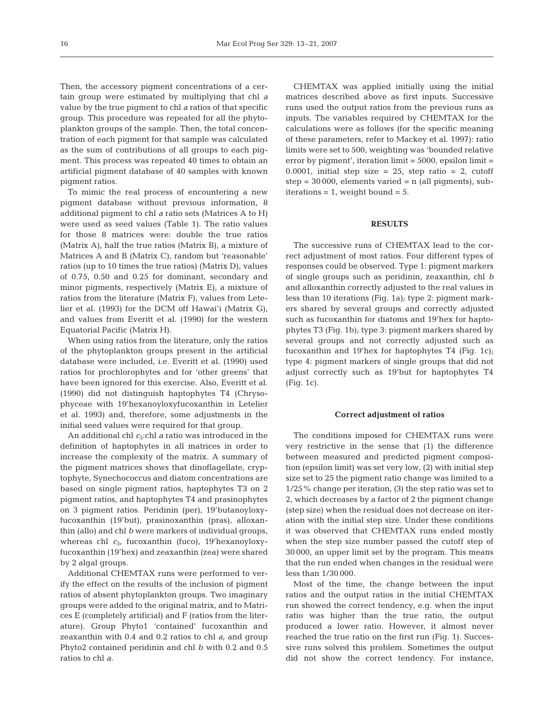Then, the accessory pigment concentrations of a certain group were estimated by multiplying that chl *a* value by the true pigment to chl *a* ratios of that specific group. This procedure was repeated for all the phytoplankton groups of the sample. Then, the total concentration of each pigment for that sample was calculated as the sum of contributions of all groups to each pigment. This process was repeated 40 times to obtain an artificial pigment database of 40 samples with known pigment ratios.

To mimic the real process of encountering a new pigment database without previous information, 8 additional pigment to chl *a* ratio sets (Matrices A to H) were used as seed values (Table 1). The ratio values for those 8 matrices were: double the true ratios (Matrix A), half the true ratios (Matrix B), a mixture of Matrices A and B (Matrix C), random but 'reasonable' ratios (up to 10 times the true ratios) (Matrix D), values of 0.75, 0.50 and 0.25 for dominant, secondary and minor pigments, respectively (Matrix E), a mixture of ratios from the literature (Matrix F), values from Letelier et al. (1993) for the DCM off Hawai'i (Matrix G), and values from Everitt et al. (1990) for the western Equatorial Pacific (Matrix H).

When using ratios from the literature, only the ratios of the phytoplankton groups present in the artificial database were included, i.e. Everitt et al. (1990) used ratios for prochlorophytes and for 'other greens' that have been ignored for this exercise. Also, Everitt et al. (1990) did not distinguish haptophytes T4 (Chrysophyceae with 19'hexanoyloxyfucoxanthin in Letelier et al. 1993) and, therefore, some adjustments in the initial seed values were required for that group.

An additional chl *c*3:chl *a* ratio was introduced in the definition of haptophytes in all matrices in order to increase the complexity of the matrix. A summary of the pigment matrices shows that dinoflagellate, cryptophyte, Synechococcus and diatom concentrations are based on single pigment ratios, haptophytes T3 on 2 pigment ratios, and haptophytes T4 and prasinophytes on 3 pigment ratios. Peridinin (per), 19'butanoyloxyfucoxanthin (19'but), prasinoxanthin (pras), alloxanthin (allo) and chl *b* were markers of individual groups, whereas chl *c*3, fucoxanthin (fuco), 19'hexanoyloxyfucoxanthin (19'hex) and zeaxanthin (zea) were shared by 2 algal groups.

Additional CHEMTAX runs were performed to verify the effect on the results of the inclusion of pigment ratios of absent phytoplankton groups. Two imaginary groups were added to the original matrix, and to Matrices E (completely artificial) and F (ratios from the literature). Group Phyto1 'contained' fucoxanthin and zeaxanthin with 0.4 and 0.2 ratios to chl *a*, and group Phyto2 contained peridinin and chl *b* with 0.2 and 0.5 ratios to chl *a*.

CHEMTAX was applied initially using the initial matrices described above as first inputs. Successive runs used the output ratios from the previous runs as inputs. The variables required by CHEMTAX for the calculations were as follows (for the specific meaning of these parameters, refer to Mackey et al. 1997): ratio limits were set to 500, weighting was 'bounded relative error by pigment', iteration limit = 5000, epsilon limit = 0.0001, initial step size = 25, step ratio = 2, cutoff  $step = 30000$ , elements varied = n (all pigments), subiterations  $= 1$ , weight bound  $= 5$ .

# **RESULTS**

The successive runs of CHEMTAX lead to the correct adjustment of most ratios. Four different types of responses could be observed. Type 1: pigment markers of single groups such as peridinin, zeaxanthin, chl *b* and alloxanthin correctly adjusted to the real values in less than 10 iterations (Fig. 1a); type 2: pigment markers shared by several groups and correctly adjusted such as fucoxanthin for diatoms and 19'hex for haptophytes T3 (Fig. 1b); type 3: pigment markers shared by several groups and not correctly adjusted such as fucoxanthin and 19'hex for haptophytes T4 (Fig. 1c); type 4: pigment markers of single groups that did not adjust correctly such as 19'but for haptophytes T4 (Fig. 1c).

### **Correct adjustment of ratios**

The conditions imposed for CHEMTAX runs were very restrictive in the sense that (1) the difference between measured and predicted pigment composition (epsilon limit) was set very low, (2) with initial step size set to 25 the pigment ratio change was limited to a 1/25% change per iteration, (3) the step ratio was set to 2, which decreases by a factor of 2 the pigment change (step size) when the residual does not decrease on iteration with the initial step size. Under these conditions it was observed that CHEMTAX runs ended mostly when the step size number passed the cutoff step of 30 000, an upper limit set by the program. This means that the run ended when changes in the residual were less than 1/30 000.

Most of the time, the change between the input ratios and the output ratios in the initial CHEMTAX run showed the correct tendency, e.g. when the input ratio was higher than the true ratio, the output produced a lower ratio. However, it almost never reached the true ratio on the first run (Fig. 1). Successive runs solved this problem. Sometimes the output did not show the correct tendency. For instance,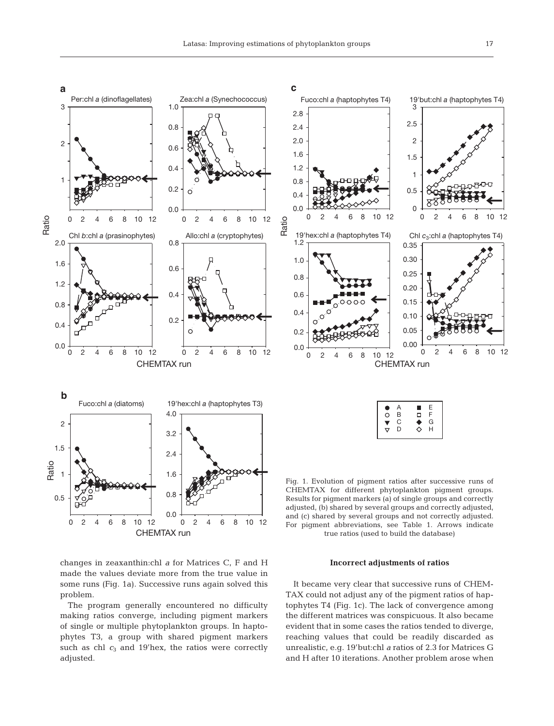

changes in zeaxanthin:chl *a* for Matrices C, F and H made the values deviate more from the true value in some runs (Fig. 1a). Successive runs again solved this problem.

The program generally encountered no difficulty making ratios converge, including pigment markers of single or multiple phytoplankton groups. In haptophytes T3, a group with shared pigment markers such as chl  $c_3$  and 19'hex, the ratios were correctly adjusted.

**Incorrect adjustments of ratios**

It became very clear that successive runs of CHEM-TAX could not adjust any of the pigment ratios of haptophytes T4 (Fig. 1c). The lack of convergence among the different matrices was conspicuous. It also became evident that in some cases the ratios tended to diverge, reaching values that could be readily discarded as unrealistic, e.g. 19'but:chl *a* ratios of 2.3 for Matrices G and H after 10 iterations. Another problem arose when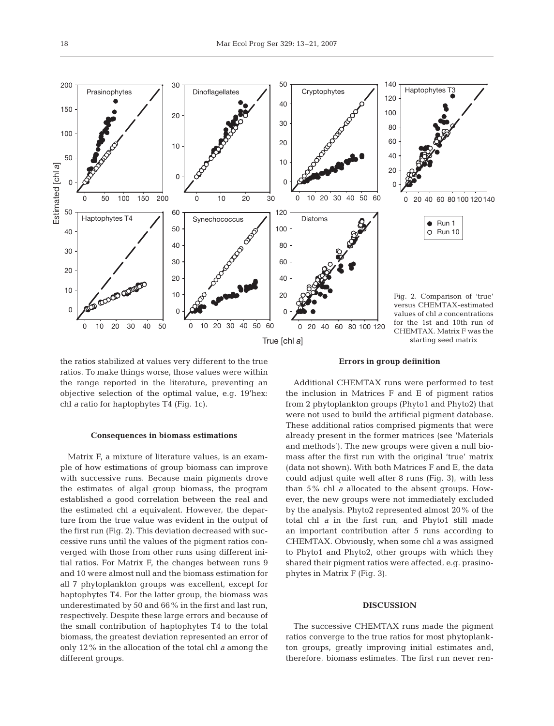

the ratios stabilized at values very different to the true ratios. To make things worse, those values were within the range reported in the literature, preventing an objective selection of the optimal value, e.g. 19'hex: chl *a* ratio for haptophytes T4 (Fig. 1c).

#### **Consequences in biomass estimations**

Matrix F, a mixture of literature values, is an example of how estimations of group biomass can improve with successive runs. Because main pigments drove the estimates of algal group biomass, the program established a good correlation between the real and the estimated chl *a* equivalent. However, the departure from the true value was evident in the output of the first run (Fig. 2). This deviation decreased with successive runs until the values of the pigment ratios converged with those from other runs using different initial ratios. For Matrix F, the changes between runs 9 and 10 were almost null and the biomass estimation for all 7 phytoplankton groups was excellent, except for haptophytes T4. For the latter group, the biomass was underestimated by 50 and 66% in the first and last run, respectively. Despite these large errors and because of the small contribution of haptophytes T4 to the total biomass, the greatest deviation represented an error of only 12% in the allocation of the total chl *a* among the different groups.

#### **Errors in group definition**

Additional CHEMTAX runs were performed to test the inclusion in Matrices F and E of pigment ratios from 2 phytoplankton groups (Phyto1 and Phyto2) that were not used to build the artificial pigment database. These additional ratios comprised pigments that were already present in the former matrices (see 'Materials and methods'). The new groups were given a null biomass after the first run with the original 'true' matrix (data not shown). With both Matrices F and E, the data could adjust quite well after 8 runs (Fig. 3), with less than 5% chl *a* allocated to the absent groups. However, the new groups were not immediately excluded by the analysis. Phyto2 represented almost 20% of the total chl *a* in the first run, and Phyto1 still made an important contribution after 5 runs according to CHEMTAX. Obviously, when some chl *a* was assigned to Phyto1 and Phyto2, other groups with which they shared their pigment ratios were affected, e.g. prasinophytes in Matrix F (Fig. 3).

# **DISCUSSION**

The successive CHEMTAX runs made the pigment ratios converge to the true ratios for most phytoplankton groups, greatly improving initial estimates and, therefore, biomass estimates. The first run never ren-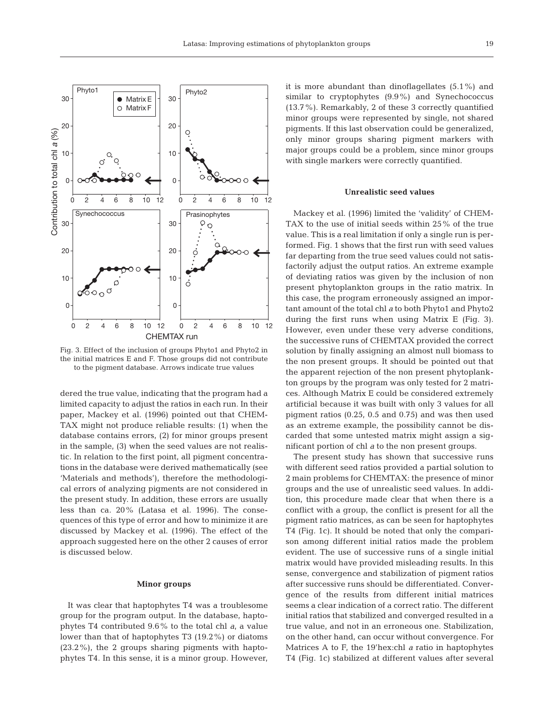

Fig. 3. Effect of the inclusion of groups Phyto1 and Phyto2 in the initial matrices E and F. Those groups did not contribute to the pigment database. Arrows indicate true values

dered the true value, indicating that the program had a limited capacity to adjust the ratios in each run. In their paper, Mackey et al. (1996) pointed out that CHEM-TAX might not produce reliable results: (1) when the database contains errors, (2) for minor groups present in the sample, (3) when the seed values are not realistic. In relation to the first point, all pigment concentrations in the database were derived mathematically (see 'Materials and methods'), therefore the methodological errors of analyzing pigments are not considered in the present study. In addition, these errors are usually less than ca. 20% (Latasa et al. 1996). The consequences of this type of error and how to minimize it are discussed by Mackey et al. (1996). The effect of the approach suggested here on the other 2 causes of error is discussed below.

## **Minor groups**

It was clear that haptophytes T4 was a troublesome group for the program output. In the database, haptophytes T4 contributed 9.6% to the total chl *a*, a value lower than that of haptophytes T3 (19.2%) or diatoms (23.2%), the 2 groups sharing pigments with haptophytes T4. In this sense, it is a minor group. However, it is more abundant than dinoflagellates (5.1%) and similar to cryptophytes (9.9%) and Synechococcus (13.7%). Remarkably, 2 of these 3 correctly quantified minor groups were represented by single, not shared pigments. If this last observation could be generalized, only minor groups sharing pigment markers with major groups could be a problem, since minor groups with single markers were correctly quantified.

#### **Unrealistic seed values**

Mackey et al. (1996) limited the 'validity' of CHEM-TAX to the use of initial seeds within 25% of the true value. This is a real limitation if only a single run is performed. Fig. 1 shows that the first run with seed values far departing from the true seed values could not satisfactorily adjust the output ratios. An extreme example of deviating ratios was given by the inclusion of non present phytoplankton groups in the ratio matrix. In this case, the program erroneously assigned an important amount of the total chl *a* to both Phyto1 and Phyto2 during the first runs when using Matrix E (Fig. 3). However, even under these very adverse conditions, the successive runs of CHEMTAX provided the correct solution by finally assigning an almost null biomass to the non present groups. It should be pointed out that the apparent rejection of the non present phytoplankton groups by the program was only tested for 2 matrices. Although Matrix E could be considered extremely artificial because it was built with only 3 values for all pigment ratios (0.25, 0.5 and 0.75) and was then used as an extreme example, the possibility cannot be discarded that some untested matrix might assign a significant portion of chl *a* to the non present groups.

The present study has shown that successive runs with different seed ratios provided a partial solution to 2 main problems for CHEMTAX: the presence of minor groups and the use of unrealistic seed values. In addition, this procedure made clear that when there is a conflict with a group, the conflict is present for all the pigment ratio matrices, as can be seen for haptophytes T4 (Fig. 1c). It should be noted that only the comparison among different initial ratios made the problem evident. The use of successive runs of a single initial matrix would have provided misleading results. In this sense, convergence and stabilization of pigment ratios after successive runs should be differentiated. Convergence of the results from different initial matrices seems a clear indication of a correct ratio. The different initial ratios that stabilized and converged resulted in a true value, and not in an erroneous one. Stabilization, on the other hand, can occur without convergence. For Matrices A to F, the 19'hex:chl *a* ratio in haptophytes T4 (Fig. 1c) stabilized at different values after several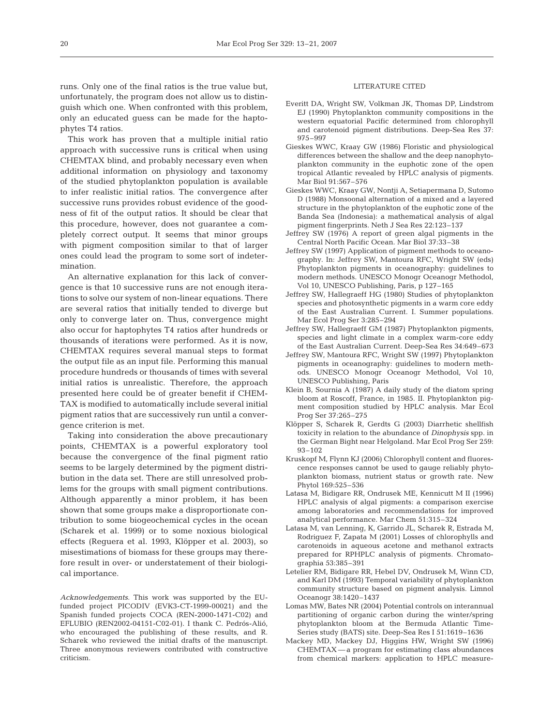runs. Only one of the final ratios is the true value but, unfortunately, the program does not allow us to distinguish which one. When confronted with this problem, only an educated guess can be made for the haptophytes T4 ratios.

This work has proven that a multiple initial ratio approach with successive runs is critical when using CHEMTAX blind, and probably necessary even when additional information on physiology and taxonomy of the studied phytoplankton population is available to infer realistic initial ratios. The convergence after successive runs provides robust evidence of the goodness of fit of the output ratios. It should be clear that this procedure, however, does not guarantee a completely correct output. It seems that minor groups with pigment composition similar to that of larger ones could lead the program to some sort of indetermination.

An alternative explanation for this lack of convergence is that 10 successive runs are not enough iterations to solve our system of non-linear equations. There are several ratios that initially tended to diverge but only to converge later on. Thus, convergence might also occur for haptophytes T4 ratios after hundreds or thousands of iterations were performed. As it is now, CHEMTAX requires several manual steps to format the output file as an input file. Performing this manual procedure hundreds or thousands of times with several initial ratios is unrealistic. Therefore, the approach presented here could be of greater benefit if CHEM-TAX is modified to automatically include several initial pigment ratios that are successively run until a convergence criterion is met.

Taking into consideration the above precautionary points, CHEMTAX is a powerful exploratory tool because the convergence of the final pigment ratio seems to be largely determined by the pigment distribution in the data set. There are still unresolved problems for the groups with small pigment contributions. Although apparently a minor problem, it has been shown that some groups make a disproportionate contribution to some biogeochemical cycles in the ocean (Scharek et al. 1999) or to some noxious biological effects (Reguera et al. 1993, Klöpper et al. 2003), so misestimations of biomass for these groups may therefore result in over- or understatement of their biological importance.

*Acknowledgements.* This work was supported by the EUfunded project PICODIV (EVK3-CT-1999-00021) and the Spanish funded projects COCA (REN-2000-1471-C02) and EFLUBIO (REN2002-04151-C02-01). I thank C. Pedrós-Alió, who encouraged the publishing of these results, and R. Scharek who reviewed the initial drafts of the manuscript. Three anonymous reviewers contributed with constructive criticism.

# LITERATURE CITED

- Everitt DA, Wright SW, Volkman JK, Thomas DP, Lindstrom EJ (1990) Phytoplankton community compositions in the western equatorial Pacific determined from chlorophyll and carotenoid pigment distributions. Deep-Sea Res 37: 975–997
- Gieskes WWC, Kraay GW (1986) Floristic and physiological differences between the shallow and the deep nanophytoplankton community in the euphotic zone of the open tropical Atlantic revealed by HPLC analysis of pigments. Mar Biol 91:567–576
- Gieskes WWC, Kraay GW, Nontji A, Setiapermana D, Sutomo D (1988) Monsoonal alternation of a mixed and a layered structure in the phytoplankton of the euphotic zone of the Banda Sea (Indonesia): a mathematical analysis of algal pigment fingerprints. Neth J Sea Res 22:123–137
- Jeffrey SW (1976) A report of green algal pigments in the Central North Pacific Ocean. Mar Biol 37:33–38
- Jeffrey SW (1997) Application of pigment methods to oceanography. In: Jeffrey SW, Mantoura RFC, Wright SW (eds) Phytoplankton pigments in oceanography: guidelines to modern methods. UNESCO Monogr Oceanogr Methodol, Vol 10, UNESCO Publishing, Paris, p 127–165
- Jeffrey SW, Hallegraeff HG (1980) Studies of phytoplankton species and photosynthetic pigments in a warm core eddy of the East Australian Current. I. Summer populations. Mar Ecol Prog Ser 3:285–294
- Jeffrey SW, Hallegraeff GM (1987) Phytoplankton pigments, species and light climate in a complex warm-core eddy of the East Australian Current. Deep-Sea Res 34:649–673
- Jeffrey SW, Mantoura RFC, Wright SW (1997) Phytoplankton pigments in oceanography: guidelines to modern methods. UNESCO Monogr Oceanogr Methodol, Vol 10, UNESCO Publishing, Paris
- Klein B, Sournia A (1987) A daily study of the diatom spring bloom at Roscoff, France, in 1985. II. Phytoplankton pigment composition studied by HPLC analysis. Mar Ecol Prog Ser 37:265–275
- Klöpper S, Scharek R, Gerdts G (2003) Diarrhetic shellfish toxicity in relation to the abundance of *Dinophysis* spp. in the German Bight near Helgoland. Mar Ecol Prog Ser 259: 93–102
- Kruskopf M, Flynn KJ (2006) Chlorophyll content and fluorescence responses cannot be used to gauge reliably phytoplankton biomass, nutrient status or growth rate. New Phytol 169:525–536
- Latasa M, Bidigare RR, Ondrusek ME, Kennicutt M II (1996) HPLC analysis of algal pigments: a comparison exercise among laboratories and recommendations for improved analytical performance. Mar Chem 51:315–324
- Latasa M, van Lenning, K, Garrido JL, Scharek R, Estrada M, Rodriguez F, Zapata M (2001) Losses of chlorophylls and carotenoids in aqueous acetone and methanol extracts prepared for RPHPLC analysis of pigments. Chromatographia 53:385–391
- Letelier RM, Bidigare RR, Hebel DV, Ondrusek M, Winn CD, and Karl DM (1993) Temporal variability of phytoplankton community structure based on pigment analysis. Limnol Oceanogr 38:1420–1437
- Lomas MW, Bates NR (2004) Potential controls on interannual partitioning of organic carbon during the winter/spring phytoplankton bloom at the Bermuda Atlantic Time-Series study (BATS) site. Deep-Sea Res I 51:1619–1636
- Mackey MD, Mackey DJ, Higgins HW, Wright SW (1996) CHEMTAX — a program for estimating class abundances from chemical markers: application to HPLC measure-